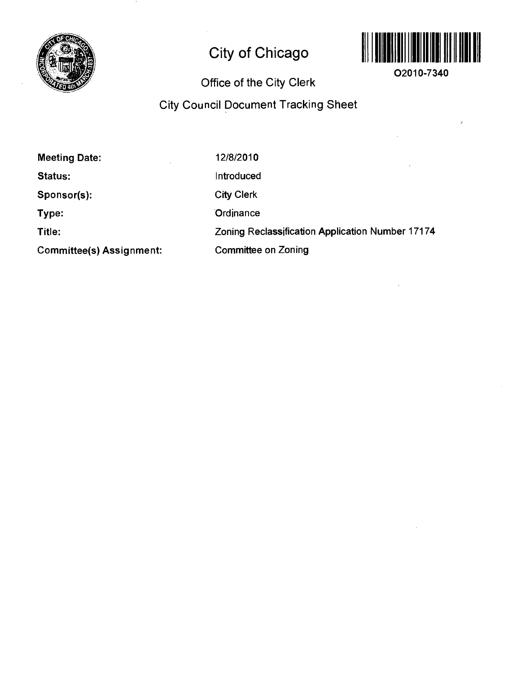

 $\epsilon$ 

# **City of Chicago**



**O2010-7340** 

# **Office of the City Clerk**

# **City Council Document Tracking Sheet**

| <b>Meeting Date:</b>            | 12/8/2010                                        |
|---------------------------------|--------------------------------------------------|
| Status:                         | Introduced                                       |
| Sponsor(s):                     | <b>City Clerk</b>                                |
| Type:                           | Ordinance                                        |
| Title:                          | Zoning Reclassification Application Number 17174 |
| <b>Committee(s) Assignment:</b> | <b>Committee on Zoning</b>                       |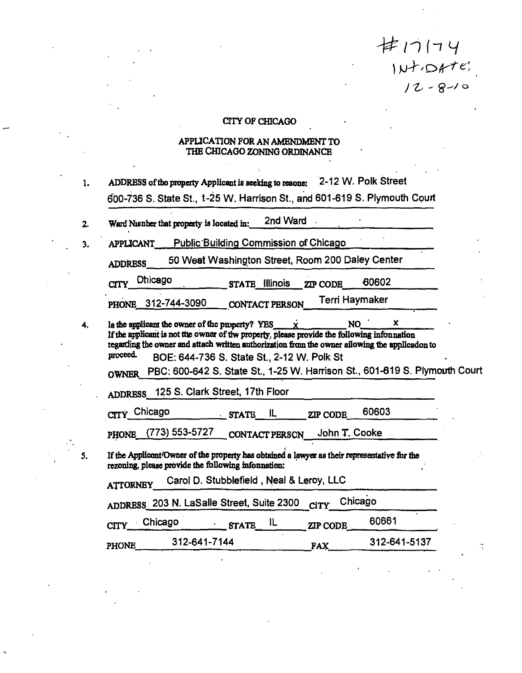# $#17174$  $10 + 04 + c'$

#### **dTY OF CHICAGO**

#### **APPUCATION FOR AN AMENDMENT TO THE CHICAGO ZONING ORDINANCE**

| ADDRESS of the property Applicant is seeking to reaone: 2-12 W. Polk Street |  |
|-----------------------------------------------------------------------------|--|
| 600-736 S. State St., t-25 W. Harrison St., and 601-619 S. Plymouth Court   |  |

2. **Ward Nisnber that property is located in:** 2nd Ward

**3. APPUCANT Public Buildinc) Commission of Chicago** 

ADDRESS 50 Weat Washington Street, Room 200 Daley Center

PHONE 312-744-3090 CONTACT PERSON Terri Haymaker

**OTTY Onicago . STATE Illinois ZIP CODE 60602** 

**4.** la the applicant the owner of the pny perty? YES  $\dot{x}$  NO  $\boldsymbol{\mathsf{x}}$ If the applicant is not ttie owner of tiw property, please provide the following infonnation **tegarding the owner and attach written authorization from the owner ailowing the applicadon to proceed.** ROE:  $644-736 \text{ S}$  State St. 2-12 W. Polk St. **BOE:644-736S. State St., 2-12 W.Polk St** 

**OWNER PBC: 600-642 S. State St., 1-25 W. Harrison St.. 601-619 S. Plymoirth Court** 

**ADDRESS 125 S. Clark Street, 17th Floor** 

CTTY Chicago STATB IL ZIP CODE 60603

PHONE (773) 553-5727 CONTACT PERSON John T. Cooke

5. If the Applicont/Owner of the property has obtained a lawyer as their representative for the rezoning, please provide the following infonnation:

ATTORNEY Carol D. Stubblefield, Neal & Leroy, LLC

| ADDRESS 203 N. LaSalle Street, Suite 2300 City Chicago |              |                   |                 |              |
|--------------------------------------------------------|--------------|-------------------|-----------------|--------------|
|                                                        | CITY Chicago | $_{\rm STATE}$ il | <b>ZIP CODE</b> | 60661        |
| <b>PHONE</b>                                           | 312-641-7144 |                   | <b>FAX</b>      | 312-641-5137 |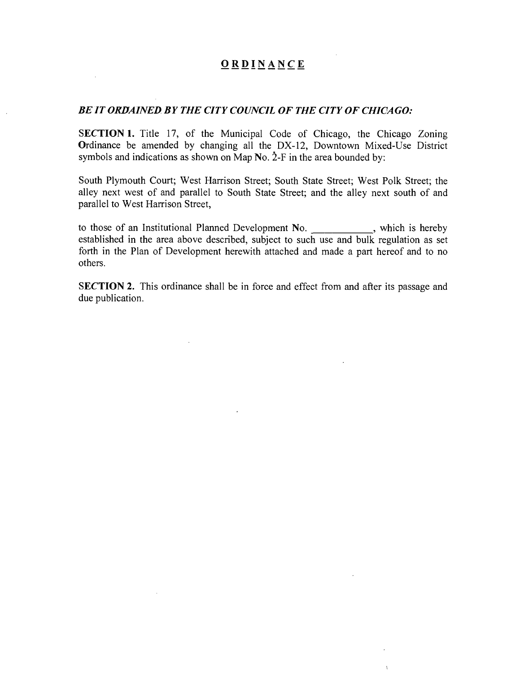# **ORDINANC E**

### *BE IT ORDAINED BY THE CITY COUNCIL OF THE CITY OF CHICAGO:*

SECTION 1. Title 17, of the Municipal Code of Chicago, the Chicago Zoning Ordinance be amended by changing all the DX-12, Downtown Mixed-Use District symbols and indications as shown on Map No. 2-F in the area bounded by:

South Plymouth Court; West Harrison Street; South State Street; West Polk Street; the alley next west of and parallel to South State Street; and the alley next south of and parallel to West Harrison Street,

to those of an Institutional Planned Development No. \_\_\_\_\_\_\_\_\_\_\_, which is hereby established in the area above described, subject to such use and bulk regulation as set forth in the Plan of Development herewith attached and made a part hereof and to no others.

SECTION 2. This ordinance shall be in force and effect from and after its passage and due publication.

 $\mathbf{t}$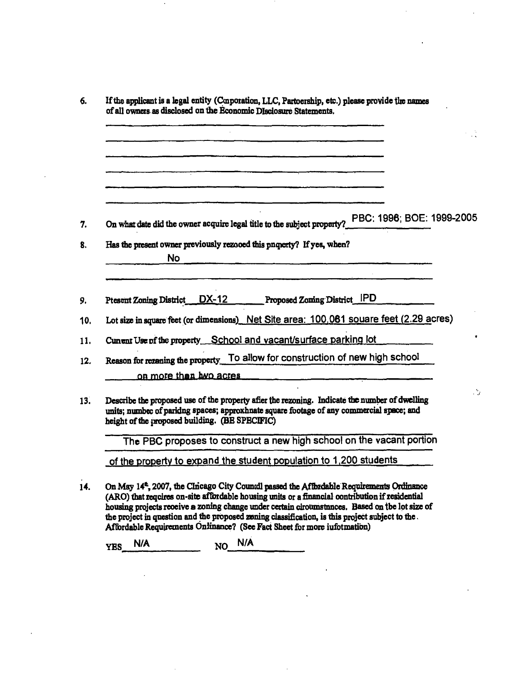| On what date did the owner acquire legal title to the subject property? PBC: 1998; BOE: 1999-2005                                                                                                                                           |
|---------------------------------------------------------------------------------------------------------------------------------------------------------------------------------------------------------------------------------------------|
| Has the present owner previously rezooed this pnquerty? If yes, when?<br><b>No</b>                                                                                                                                                          |
| Ptesent Zoning District DX-12 Proposed Zoning District IPD                                                                                                                                                                                  |
| Lot size in square feet (or dimensions) Net Site area: 100,061 souare feet (2.29 acres)                                                                                                                                                     |
| Cunent Use of the property School and vacant/surface parking lot                                                                                                                                                                            |
| Reason for rezaning the property To allow for construction of new high school                                                                                                                                                               |
| on more than hyp acres                                                                                                                                                                                                                      |
| Describe the proposed use of the property after the rezoning. Indicate the number of dwelling<br>units; numbec of paridng spaces; approxhnate square footage of any commercial space; and<br>height of the proposed building. (BE SPECIFIC) |
| The PBC proposes to construct a new high school on the vacant portion                                                                                                                                                                       |
| of the property to expand the student population to 1,200 students                                                                                                                                                                          |
| On May 14 <sup>th</sup> , 2007, the CIncago City Council passed the Affbzdable Requirements Ordinance                                                                                                                                       |

 $\frac{1}{2}$ 

 $\ddot{\phantom{a}}$ 

 $\bar{z}$ 

 $\bar{\epsilon}$ 

YES N/A NO N/A

 $\bar{\bar{z}}$ 

 $\cdot$ 

 $\hat{\boldsymbol{r}}$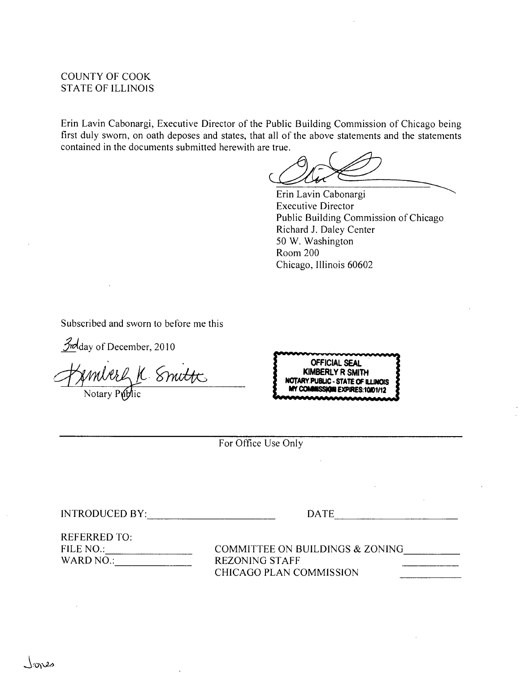# COUNTY OF COOK STATE OF ILLINOIS

Erin Lavin Cabonargi, Executive Director of the Public Building Commission of Chicago being first duly sworn, on oath deposes and states, that all of the above statements and the statements contained in the documents submitted herewith are true.

Erin Lavin Cabonargi Executive Director Public Building Commission of Chicago Richard J. Daley Center 50 W. Washington Room 200 Chicago, Illinois 60602

Subscribed and sworn to before me this

 $\mathcal{H}$ day of December, 2010

Symbers K Smitt

**OFFICIAL SEAL KIMBERLYR SMITH NOTARY PUBUC • STATE OF lUJNOIS VN COMMSSKM EXPIRES:10ID1/12** 

For Office Use Only

INTRODUCED BY:

DATE **DESIGNATE** 

 $\mathcal{L}_{\rm{max}}$ 

REFERRED TO: FILE NO.: WARD NO.:

COMMITTEE ON BUILDINGS & ZONING REZONING STAFF ^ CHICAGO PLAN COMMISSION

Jares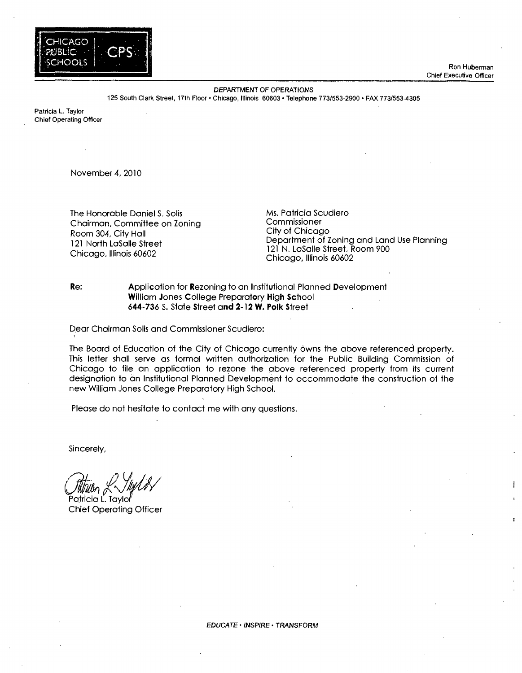



DEPARTMENT OF OPERATIONS 125 South Clark Street, 17th Floor • Chicago, Illinois 60603 • Telephone 773/553-2900 • FAX 773/553-4305

Patricia L. Taylor Chief Operating Officer

November 4, 2010

The Honorable Daniel S. Solis Chairman, Committee on Zoning Room 304, City Hall 121 North LaSalle Street Chicago, Illinois 60602

Ms. Patricia Scudiero Commissioner City of Chicago Department of Zoning and Land Use Planning 121 N. LaSalle SIreet, Room 900 Chicago, Illinois 60602

**Re: Application for Rezoning to an Institutional Planned Development William Jones College Preparatory High Sctiool 6AA-736 S. State Street and 2-12 W. Polk Street** 

Dear Chairman Solis and Commissioner Scudiero:

The Board of Education of the City of Chicago currently owns the above referenced property. This letter shall serve as formal written authorization for the Public Building Commission of Chicago to file an application to rezone the above referenced property from its current designation to an Institutional Planned Development to accommodate the construction of the new William Jones College Preparatory High School,

Please do not hesitate to contact me with any questions.

Sincerely,

Patricia L. Taylor

Chief Operating Officer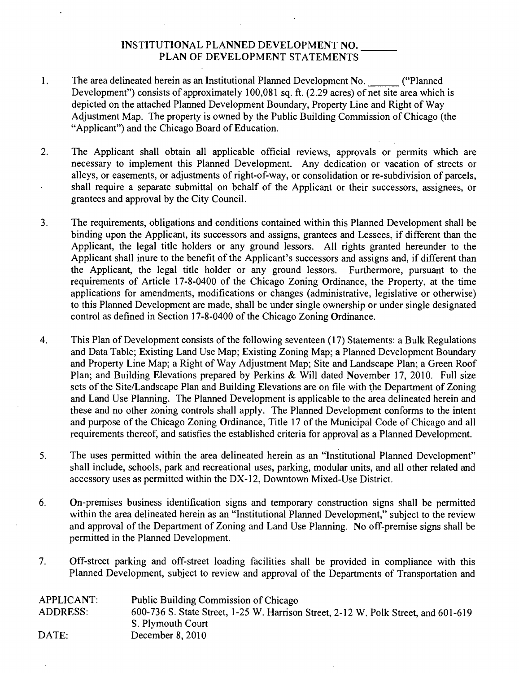# **INSTITUTIONAL PLANNED DEVELOPMENT NO. PLAN OF DEVELOPMENT STATEMENTS**

- 1. The area delineated herein as an Institutional Planned Development No. ("Planned Development") consists of approximately 100,081 sq. ft. (2.29 acres) of net site area which is depicted on the attached Planned Development Boundary, Property Line and Right of Way Adjustment Map. The property is owned by the Public Building Commission of Chicago (the "Applicant") and the Chicago Board of Education.
- 2. The Applicant shall obtain all applicable official reviews, approvals or permits which are necessary to implement this Planned Development. Any dedication or vacation of streets or alleys, or easements, or adjustments of right-of-way, or consolidation or re-subdivision of parcels, shall require a separate submittal on behalf of the Applicant or their successors, assignees, or grantees and approval by the City Council.
- 3. The requirements, obligations and conditions contained within this Planned Development shall be binding upon the Applicant, its successors and assigns, grantees and Lessees, if different than the Applicant, the legal title holders or any ground lessors. All rights granted hereunder to the Applicant shall inure to the benefit of the Applicant's successors and assigns and, if different than the Applicant, the legal title holder or any ground lessors. Furthermore, pursuant to the requirements of Article 17-8-0400 of the Chicago Zoning Ordinance, the Property, at the time applications for amendments, modifications or changes (administrative, legislative or otherwise) to this Planned Development are made, shall be under single ownership or under single designated control as defined in Section 17-8-0400 of the Chicago Zoning Ordinance.
- 4. This Plan of Development consists of the following seventeen (17) Statements: a Bulk Regulations and Data Table; Existing Land Use Map; Existing Zoning Map; a Planned Development Boundary and Property Line Map; a Right of Way Adjustment Map; Site and Landscape Plan; a Green Roof Plan; and Building Elevations prepared by Perkins & Will dated November 17, 2010. Full size sets of the Site/Landscape Plan and Building Elevations are on file with the Department of Zoning and Land Use Planning. The Planned Development is applicable to the area delineated herein and these and no other zoning controls shall apply. The Planned Development conforms to the intent and purpose of the Chicago Zoning Ordinance, Title 17 of the Municipal Code of Chicago and all requirements thereof, and satisfies the established criteria for approval as a Planned Development.
- 5. The uses permitted within the area delineated herein as an "Institutional Planned Development" shall include, schools, park and recreational uses, parking, modular units, and all other related and accessory uses as permitted within the DX-12, Downtown Mixed-Use District.
- 6. On-premises business identification signs and temporary construction signs shall be permitted within the area delineated herein as an "Institutional Planned Development," subject to the review and approval of the Department of Zoning and Land Use Planning. No off-premise signs shall be permitted in the Planned Development.
- 7. Off-street parking and off-street loading facilities shall be provided in compliance with this Planned Development, subject to review and approval of the Departments of Transportation and

| APPLICANT: | Public Building Commission of Chicago                                              |
|------------|------------------------------------------------------------------------------------|
| ADDRESS:   | 600-736 S. State Street, 1-25 W. Harrison Street, 2-12 W. Polk Street, and 601-619 |
|            | S. Plymouth Court                                                                  |
| DATE:      | December 8, 2010                                                                   |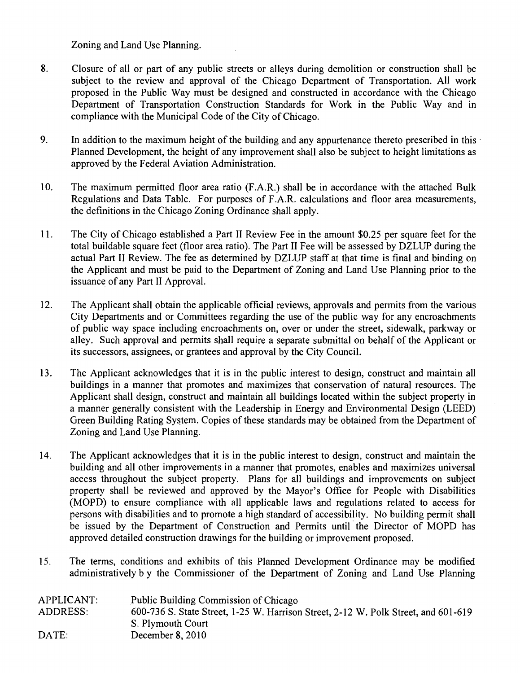Zoning and Land Use Planning.

- 8. Closure of all or part of any public streets or alleys during demolition or construction shall be subject to the review and approval of the Chicago Department of Transportation. All work proposed in the Public Way must be designed and constructed in accordance with the Chicago Department of Transportation Construction Standards for Work in the Public Way and in compliance with the Municipal Code of the City of Chicago.
- 9. In addition to the maximum height of the building and any appurtenance thereto prescribed in this Planned Development, the height of any improvement shall also be subject to height limitations as approved by the Federal Aviation Administration.
- 10. The maximum permitted floor area ratio (F.A.R.) shall be in accordance with the attached Bulk Regulations and Data Table. For purposes of F.A.R. calculations and floor area measurements, the definitions in the Chicago Zoning Ordinance shall apply.
- 11. The City of Chicago established a Part II Review Fee in the amount \$0.25 per square feet for the total buildable square feet (floor area ratio). The Part II Fee will be assessed by DZLUP during the actual Part II Review. The fee as determined by DZLUP staff at that time is final and binding on the Applicant and must be paid to the Department of Zoning and Land Use Planning prior to the issuance of any Part II Approval.
- 12. The Applicant shall obtain the applicable official reviews, approvals and permits from the various City Departments and or Committees regarding the use of the public way for any encroachments of public way space including encroachments on, over or under the street, sidewalk, parkway or alley. Such approval and permits shall require a separate submittal on behalf of the Applicant or its successors, assignees, or grantees and approval by the City Council.
- 13. The Applicant acknowledges that it is in the public interest to design, construct and maintain all buildings in a manner that promotes and maximizes that conservation of natural resources. The Applicant shall design, construct and maintain all buildings located within the subject property in a manner generally consistent with the Leadership in Energy and Environmental Design (LEED) Green Building Rating System. Copies of these standards may be obtained from the Department of Zoning and Land Use Planning.
- 14. The Applicant acknowledges that it is in the public interest to design, construct and maintain the building and all other improvements in a manner that promotes, enables and maximizes universal access throughout the subject property. Plans for all buildings and improvements on subject property shall be reviewed and approved by the Mayor's Office for People with Disabilities (MOPD) to ensure compliance with all applicable laws and regulations related to access for persons with disabilities and to promote a high standard of accessibility. No building permit shall be issued by the Department of Construction and Permits until the Director of MOPD has approved detailed construction drawings for the building or improvement proposed.
- 15. The terms, conditions and exhibits of this Planned Development Ordinance may be modified administratively b y the Commissioner of the Department of Zoning and Land Use Planning

| APPLICANT: | Public Building Commission of Chicago                                              |
|------------|------------------------------------------------------------------------------------|
| ADDRESS:   | 600-736 S. State Street, 1-25 W. Harrison Street, 2-12 W. Polk Street, and 601-619 |
|            | S. Plymouth Court                                                                  |
| DATE:      | December $8, 2010$                                                                 |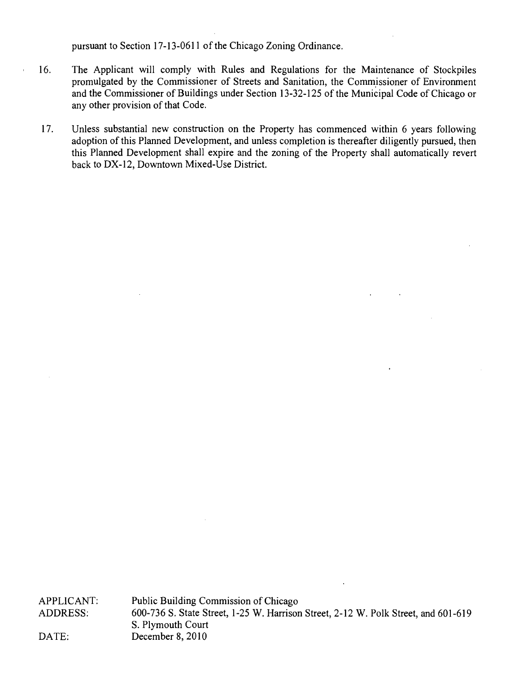pursuant to Section 17-13-0611 of the Chicago Zoning Ordinance.

- 16. The Applicant will comply with Rules and Regulations for the Maintenance of Stockpiles promulgated by the Commissioner of Streets and Sanitation, the Commissioner of Environment and the Commissioner of Buildings under Section 13-32-125 of the Municipal Code of Chicago or any other provision of that Code.
- 17. Unless substantial new construction on the Property has commenced within 6 years following adoption of this Planned Development, and unless completion is thereafter diligently pursued, then this Planned Development shall expire and the zoning of the Property shall automatically revert back to DX-12, Downtown Mixed-Use District.

APPLICANT: Public Building Commission of Chicago ADDRESS: 600-736 S. State Street, 1-25 W. Harrison Street, 2-12 W. Polk Street, and 601-619 S. Plymouth Court DATE: December 8, 2010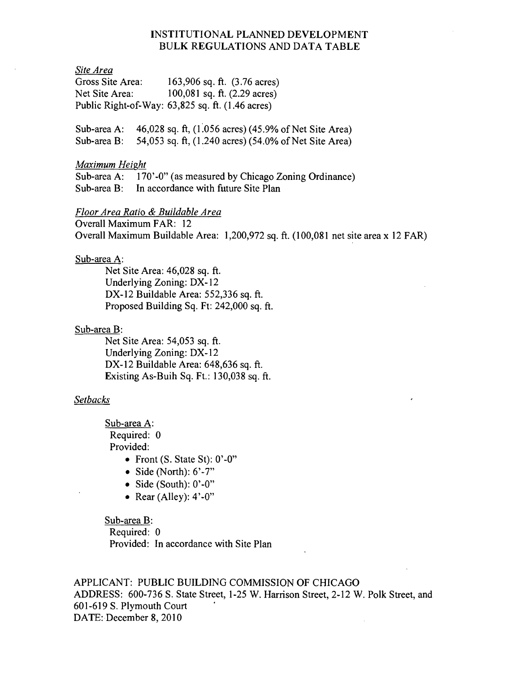### **INSTITUTIONAL PLANNED DEVELOPMENT BULK REGULATIONS AND DATA TABLE**

#### *Site Area*

Gross Site Area: 163,906 sq.ft. (3.76 acres) Net Site Area: 100,081 sq. ft. (2.29 acres) Public Right-of-Way: 63,825 sq. ft. (1.46 acres)

Sub-area A: 46,028 sq. ft, (1.056 acres) (45.9% of Net Site Area)<br>Sub-area B: 54.053 sq. ft, (1.240 acres) (54.0% of Net Site Area) 54,053 sq. ft, (1.240 acres) (54,0% of Net Site Area)

#### *Maximum Height*

Sub-area A: 170'-0" (as measured by Chicago Zoning Ordinance) Sub-area B: In accordance with future Site Plan

## Floor Area Ratio & Buildable Area

Overall Maximum FAR: 12 Overall Maximum Buildable Area: 1,200,972 sq. ft. (100,081 net site area x 12 FAR)

#### Sub-area A:

Net Site Area: 46,028 sq. ft. Underlying Zoning: DX-12 DX-12 Buildable Area: 552,336 sq. ft. Proposed Building Sq. Ft: 242,000 sq. ft.

#### Sub-area B:

Net Site Area: 54,053 sq. ft. Underlying Zoning: DX-12 DX-12 Buildable Area: 648,636 sq. ft. Existing As-Buih Sq. Ft.: 130,038 sq. ft.

#### *Setbacks*

Sub-area A: Required: 0 Provided:

• Front (S. State St): O'-O"

- Side (North):  $6'-7$ "
- Side (South): O'-O"
- Rear (Alley):  $4'-0$ "

Sub-area B: Required: 0 Provided: In accordance with Site Plan

APPLICANT: PUBLIC BUILDING COMMISSION OF CHICAGO ADDRESS: 600-736 S. State Street, 1-25 W. Harrison Street, 2-12 W. Polk Street, and 601-619 S. Plymouth Court DATE: December 8, 2010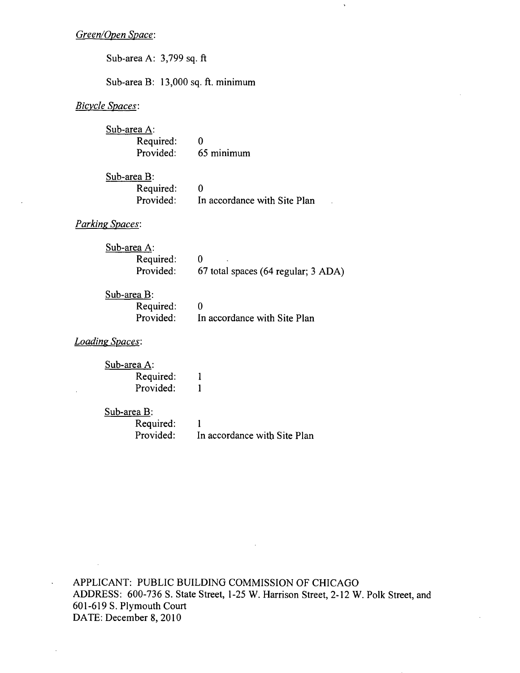Sub-area A: 3,799 sq. ft

*Sub-area B: 13,000 sq. ft. minimum* 

# *Bicycle Spaces:*

| Sub-area A: |                              |
|-------------|------------------------------|
| Required:   |                              |
| Provided:   | 65 minimum                   |
|             |                              |
| Sub-area B: |                              |
| Required:   |                              |
| Provided:   | In accordance with Site Plan |

 $\hat{\mathbf{v}}$ 

## *Parkins Spaces:*

| Sub-a <u>rea</u> A: |                                     |
|---------------------|-------------------------------------|
| Required:           |                                     |
| Provided:           | 67 total spaces (64 regular; 3 ADA) |

| Sub-area B: |                              |
|-------------|------------------------------|
| Required:   |                              |
| Provided:   | In accordance with Site Plan |

# *Loadins Spaces:*

 $\bar{z}$ 

 $\ddot{\phantom{a}}$ 

| Sub-area A:                           |                              |
|---------------------------------------|------------------------------|
| Required:                             |                              |
| Provided:                             |                              |
| Sub-area B:<br>Required:<br>Provided: | In accordance with Site Plan |

APPLICANT: PUBLIC BUILDING COMMISSION OF CHICAGO ADDRESS: 600-736 S. State Street, 1-25 W. Harrison Street, 2-12 W. Polk Street, and 601-619 S. Plymouth Court DATE: December 8, 2010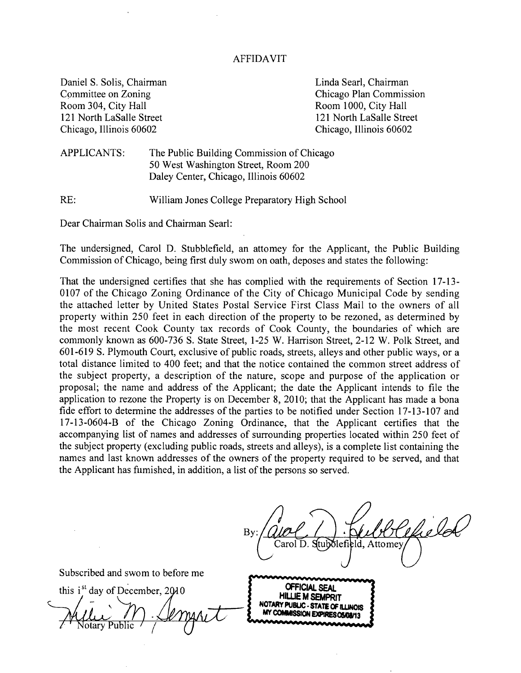#### AFFIDAVIT

Daniel S. Solis, Chairman Committee on Zoning Room 304, City Hall 121 North LaSalle Street Chicago, Illinois 60602

Linda Searl, Chairman Chicago Plan Commission Room 1000, City Hall 121 North LaSalle Street Chicago, Illinois 60602

APPLICANTS: The Public Building Commission of Chicago 50 West Washington Street, Room 200 Daley Center, Chicago, Illinois 60602

RE: William Jones College Preparatory High School

Dear Chairman Solis and Chairman Searl:

The undersigned, Carol D. Stubblefield, an attomey for the Applicant, the Public Building Commission of Chicago, being first duly swom on oath, deposes and states the following:

That the undersigned certifies that she has complied with the requirements of Section 17-13- 0107 of the Chicago Zoning Ordinance of the City of Chicago Municipal Code by sending the attached letter by United States Postal Service First Class Mail to the owners of all property within 250 feet in each direction of the property to be rezoned, as determined by the most recent Cook County tax records of Cook County, the boundaries of which are commonly known as 600-736 S. State Street, 1-25 W. Harrison Street, 2-12 W. Polk Street, and 601-619 S. Plymouth Court, exclusive of public roads, streets, alleys and other public ways, or a total distance limited to 400 feet; and that the notice contained the common street address of the subject property, a description of the nature, scope and purpose of the application or proposal; the name and address of the Applicant; the date the Applicant intends to file the application to rezone the Property is on December 8, 2010; that the Applicant has made a bona fide effort to determine the addresses of the parties to be notified under Section 17-13-107 and 17-13-0604-B of the Chicago Zoning Ordinance, that the Applicant certifies that the accompanying list of names and addresses of surrounding properties located within 250 feet of the subject property (excluding public roads, streets and alleys), is a complete list containing the names and last known addresses of the owners of the property required to be served, and that the Applicant has fiimished, in addition, a list of the persons so served.

 $Bv$ Carol D. Stubolefield, Attomey *J*  **OFFICIAL SEAL HILLIE M SEMPRIT NOTARY PUBLIC - STATE OF 8** 

**MY COMMISSION EXPIRESOS/08/13** 

Subscribed and swom to before me

this  $i<sup>st</sup>$  day of December, 2010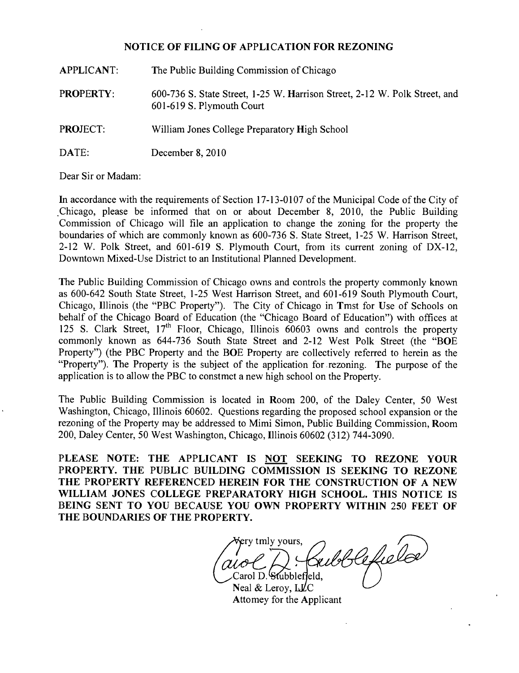### **NOTICE OF FILING OF APPLICATION FOR REZONING**

APPLICANT: The Public Building Commission of Chicago PROPERTY: 600-736 S. State Street, 1-25 W. Harrison Street, 2-12 W. Polk Street, and 601-619 S. Plymouth Court PROJECT: William Jones College Preparatory High School

DATE: December 8, 2010

Dear Sir or Madam:

In accordance with the requirements of Section 17-13-0107 of the Municipal Code of the City of Chicago, please be informed that on or about December 8, 2010, the Public Building Commission of Chicago will file an application to change the zoning for the property the boundaries of which are commonly known as 600-736 S. State Street, 1-25 W. Harrison Street, 2-12 W. Polk Street, and 601-619 S. Plymouth Court, from its current zoning of DX-12, Downtown Mixed-Use District to an Institutional Planned Development.

The Public Building Commission of Chicago owns and controls the property commonly known as 600-642 South State Street, 1-25 West Harrison Street, and 601-619 South Plymouth Court, Chicago, Illinois (the "PBC Property"). The City of Chicago in Tmst for Use of Schools on behalf of the Chicago Board of Education (the "Chicago Board of Education") with offices at 125 S. Clark Street, 17<sup>th</sup> Floor, Chicago, Illinois 60603 owns and controls the property commonly known as 644-736 South State Street and 2-12 West Polk Street (the "BOE Property") (the PBC Property and the BOE Property are collectively referred to herein as the "Properly"). The Properly is the subject of the application for rezoning. The purpose of the application is to allow the PBC lo constmct a new high school on the Property.

The Public Building Commission is located in Room 200, of the Daley Center, 50 West Washington, Chicago, Illinois 60602. Questions regarding the proposed school expansion or the rezoning of the Property may be addressed to Mimi Simon, Public Building Commission, Room 200, Daley Center, 50 West Washington, Chicago, Illinois 60602 (312) 744-3090.

**PLEASE NOTE: THE APPLICANT IS NOT SEEKING TO REZONE YOUR PROPERTY. THE PUBLIC BUILDING COMMISSION IS SEEKING TO REZONE THE PROPERTY REFERENCED HEREIN FOR THE CONSTRUCTION OF A NEW WILLIAM JONES COLLEGE PREPARATORY HIGH SCHOOL. THIS NOTICE IS BEING SENT TO YOU BECAUSE YOU OWN PROPERTY WITHIN 250 FEET OF THE BOUNDARIES OF THE PROPERTY.** 

Wery tmly yours, xibblefield Carol D. Stubbleffeld.

Neal & Leroy,  $L\nu CC$ Attomey for the Applicant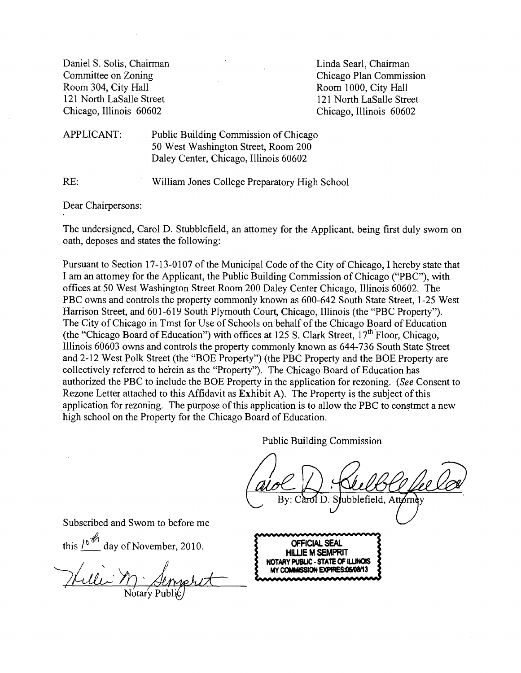Daniel S. Solis, Chairman Committee on Zoning Room 304, City Hall 121 North LaSalle Street Chicago, Illinois 60602

Linda Searl, Chairman Chicago Plan Commission Room 1000, City Hall 121 North LaSalle Street Chicago, Illinois 60602

APPLICANT: Public Building Commission of Chicago 50 West Washington Street, Room 200 Daley Center, Chicago, Illinois 60602

RE: William Jones College Preparatory High School

Dear Chairpersons:

The undersigned, Carol D. Stubblefield, an attomey for the Applicant, being first duly swom on oath, deposes and states the following:

Pursuant to Section 17-13-0107 of the Municipal Code of the City of Chicago, I hereby state that I am an attomey for the Applicant, the Public Building Commission of Chicago ("PBC"), with offices at 50 West Washington Street Room 200 Daley Center Chicago, Illinois 60602. The PBC owns and controls the property commonly known as 600-642 South State Street, 1 -25 West Harrison Street, and 601-619 South Plymouth Court, Chicago, Illinois (the "PBC Property"). The City of Chicago in Tmst for Use of Schools on behalf of the Chicago Board of Education (the "Chicago Board of Education") with offices at 125 S. Clark Street,  $17<sup>th</sup>$  Floor, Chicago, Illinois 60603 owns and controls the property commonly known as 644-736 South Slate Street and 2-12 West Polk Street (the "BOE Property") (the PBC Property and the BOE Properly are collectively referred to herein as the "Property"). The Chicago Board of Education has authorized the PBC to include the BOE Property in the application for rezoning. {See Consent to Rezone Letter attached to this Affidavit as Exhibit A). The Property is the subject of this application for rezoning. The purpose of this application is to allow the PBC to constmct a new high school on the Property for the Chicago Board of Education.

Public Building Commission

oblefield, Attornev

Subscribed and Swom to before me

this  $\sqrt{\frac{6 \text{ m}}{10}}$  day of November, 2010.

Hillii n Notary Public/

**OFFICIAL SEAL HILLIE M SEMPRIT** NOTARY PUBLIC - STATE MY COMMISSION EX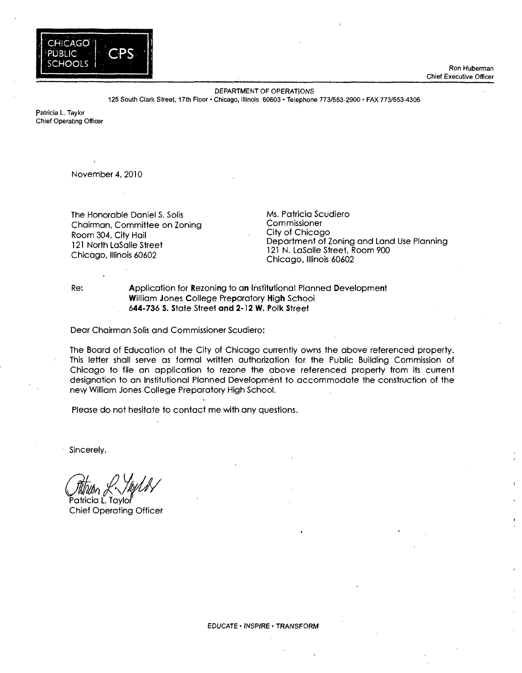

Ron Huberman Chief Executive Officer

DEPARTMENT OF OPERATIONS 125 South Clarl< Street, 17th Floor • Chicago, Illinois 60603 • Telephone 773/553-2900 • FAX 773/553-4305

Patricia L. Taylor Chief Operating Officer

November 4, 2010

The Honorable Daniel S. Solis Chairman, Committee on Zoning Room 304, City Hail 121 North LaSalle Street Chicago, Illinois 60602

Ms. Patricia Scudiero Commissioner City of Chicago Department of Zoning and Land Use Planning 121 N. LaSalle Street, Room 900 Chicago, Illinois 60602

**Re: Application for Rezoning to an Institutional Planned Development William Jones College Preparatory High Sctiooi 644-736 S. State Street and 2-12 W. Polk Street** 

Dear Chairman Solis and Commissioner Scudiero:

The Board of Education of the City of Chicago currently owns the above referenced property. This letter shall serve as formal written authorization for the Public Building Commission of Chicago to file an application to rezone the above referenced property from its current designation to an Institutional Planned Development to accommodate the construction of the nevy William Jones College Preparatory High School.

Please do not hesitate to contact me with any questions.

Sincerely,

1\

Patricia L. Tavloi Chief Operating Officer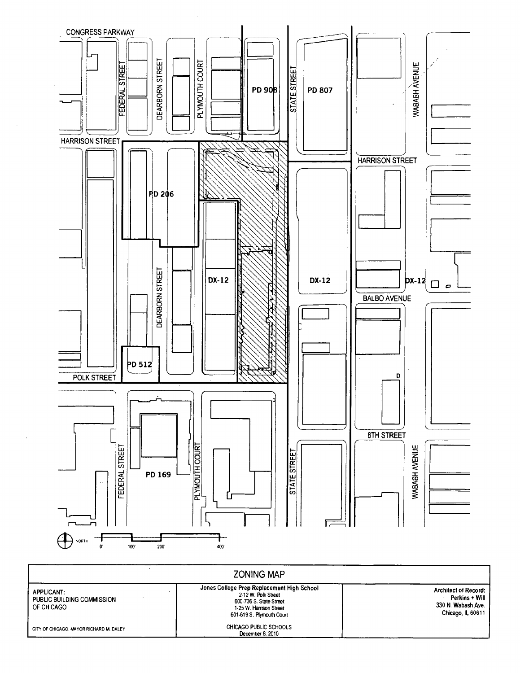

| <b>ZONING MAP</b>                                             |                                                                                                                                                      |                                                                                          |  |
|---------------------------------------------------------------|------------------------------------------------------------------------------------------------------------------------------------------------------|------------------------------------------------------------------------------------------|--|
| <b>APPLICANT:</b><br>PUBLIC BUILDING COMMISSION<br>OF CHICAGO | Jones College Prep Replacement High School<br>2-12 W. Polk Street<br>600-736 S. State Street<br>1-25 W. Harrison Street<br>601-619 S. Plymouth Court | <b>Architect of Record:</b><br>Perkins + Will<br>330 N. Wabash Ave.<br>Chicago, IL 60611 |  |
| CITY OF CHICAGO. MAYOR RICHARD M. DALEY                       | <b>CHICAGO PUBLIC SCHOOLS</b><br>December 8, 2010                                                                                                    |                                                                                          |  |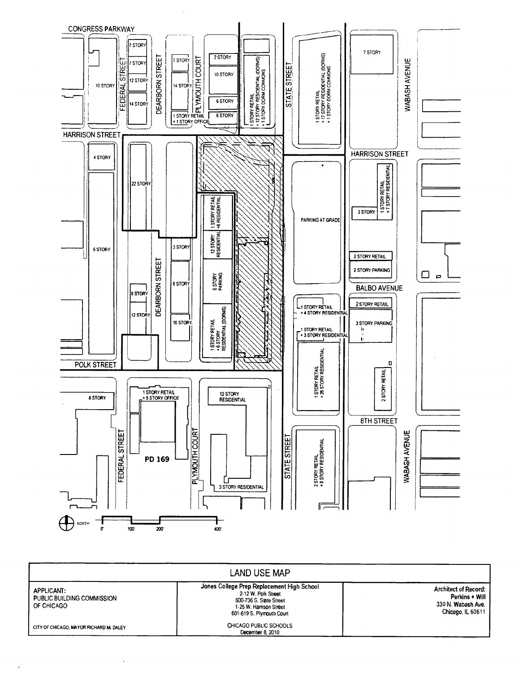

| LAND USE MAP                                                  |                                                                                                                                                      |                                                                                          |
|---------------------------------------------------------------|------------------------------------------------------------------------------------------------------------------------------------------------------|------------------------------------------------------------------------------------------|
| <b>APPLICANT:</b><br>PUBLIC BUILDING COMMISSION<br>OF CHICAGO | Jones College Prep Replacement High School<br>2-12 W. Polk Street<br>600-736 S. State Street<br>1-25 W. Harrison Street<br>601-619 S. Plymouth Court | <b>Architect of Record:</b><br>Perkins + Will<br>330 N. Wabash Ave.<br>Chicago, IL 60611 |
| CITY OF CHICAGO, MAYOR RICHARD M, DALEY                       | CHICAGO PUBLIC SCHOOLS<br>December 8, 2010                                                                                                           |                                                                                          |

 $\ddot{\phantom{a}}$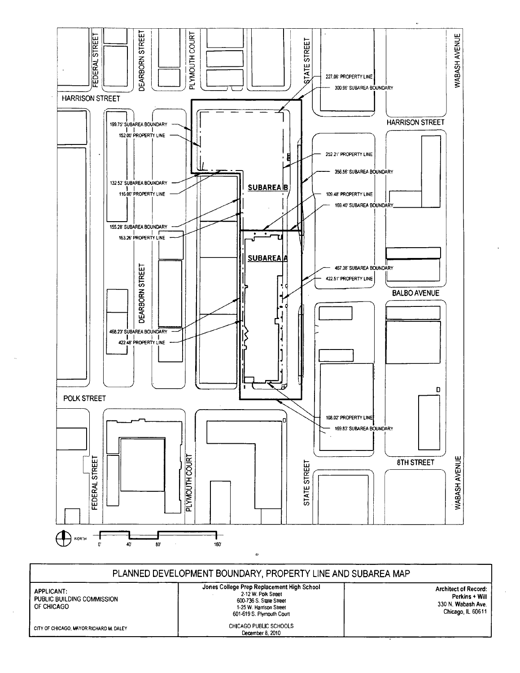

|                                                               | PLANNED DEVELOPMENT BOUNDARY, PROPERTY LINE AND SUBAREA MAP                                                                                        |                                                                                          |
|---------------------------------------------------------------|----------------------------------------------------------------------------------------------------------------------------------------------------|------------------------------------------------------------------------------------------|
| <b>APPLICANT:</b><br>PUBLIC BUILDING COMMISSION<br>OF CHICAGO | Jones College Prep Replacement High School<br>2-12 W. Polk Street<br>600-736 S. State Street<br>1-25 W. Hamson Street<br>601-619 S. Plymouth Court | <b>Architect of Record:</b><br>Perkins + Will<br>330 N. Wabash Ave.<br>Chicago, IL 60611 |
| CITY OF CHICAGO, MAYOR RICHARD M, DALEY                       | CHICAGO PUBLIC SCHOOLS<br>December 8, 2010                                                                                                         |                                                                                          |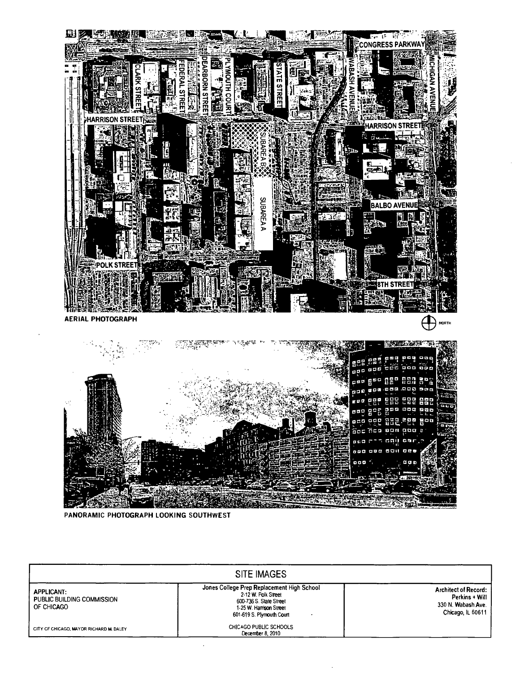

**PANORAMIC PHOTOGRAPH LOOKING SOUTHWEST** 

|                                                               | <b>SITE IMAGES</b>                                                                                                                                   |                                                                                          |
|---------------------------------------------------------------|------------------------------------------------------------------------------------------------------------------------------------------------------|------------------------------------------------------------------------------------------|
| <b>APPLICANT:</b><br>PUBLIC BUILDING COMMISSION<br>OF CHICAGO | Jones College Prep Replacement High School<br>2-12 W. Polk Street<br>600-736 S. State Street<br>1-25 W. Harrison Street<br>601-619 S. Plymouth Court | <b>Architect of Record:</b><br>Perkins + Will<br>330 N. Wabash Ave.<br>Chicago, IL 60611 |
| CITY OF CHICAGO, MAYOR RICHARD M. DALEY                       | CHICAGO PUBLIC SCHOOLS<br>December 8, 2010                                                                                                           |                                                                                          |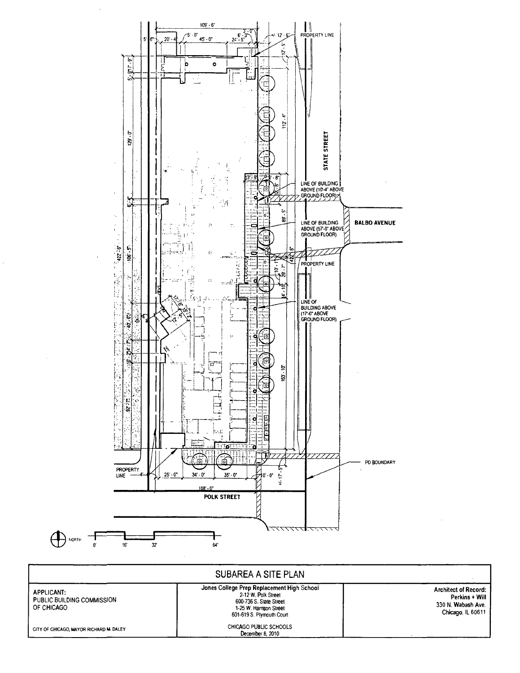

| SUBAREA A SITE PLAN                                           |                                                                                                                                                      |                                                                                          |
|---------------------------------------------------------------|------------------------------------------------------------------------------------------------------------------------------------------------------|------------------------------------------------------------------------------------------|
| <b>APPLICANT:</b><br>PUBLIC BUILDING COMMISSION<br>OF CHICAGO | Jones College Prep Replacement High School<br>2-12 W. Polk Street<br>600-736 S. State Street<br>1-25 W. Harrison Street<br>601-619 S. Plymouth Court | <b>Architect of Record:</b><br>Perkins + Will<br>330 N. Wabash Ave.<br>Chicago, IL 60611 |
| CITY OF CHICAGO, MAYOR RICHARD M DALEY                        | CHICAGO PUBLIC SCHOOLS<br>December 8, 2010                                                                                                           |                                                                                          |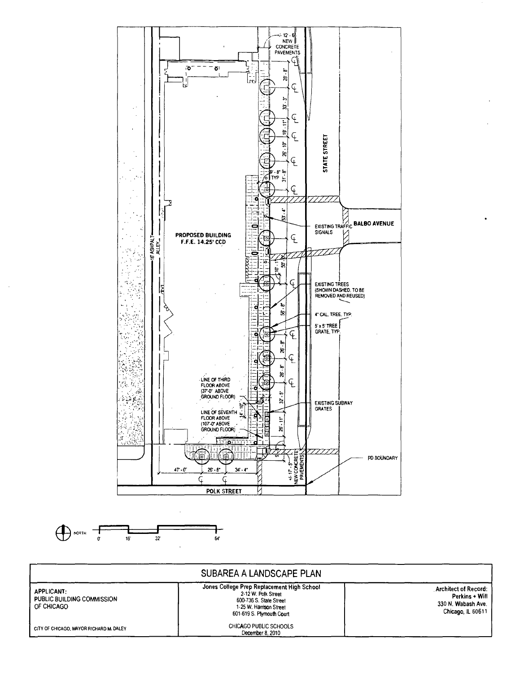



| SUBAREA A LANDSCAPE PLAN                               |                                                                                                                                                      |                                                                                          |
|--------------------------------------------------------|------------------------------------------------------------------------------------------------------------------------------------------------------|------------------------------------------------------------------------------------------|
| APPLICANT:<br>PUBLIC BUILDING COMMISSION<br>OF CHICAGO | Jones College Prep Replacement High School<br>2-12 W. Polk Street<br>600-736 S. State Street<br>1-25 W. Harrison Street<br>601-619 S. Plymouth Court | <b>Architect of Record:</b><br>Perkins + Will<br>330 N. Wabash Ave.<br>Chicago, IL 60611 |
| CITY OF CHICAGO, MAYOR RICHARD M. DALEY                | CHICAGO PUBLIC SCHOOLS<br>December 8, 2010                                                                                                           |                                                                                          |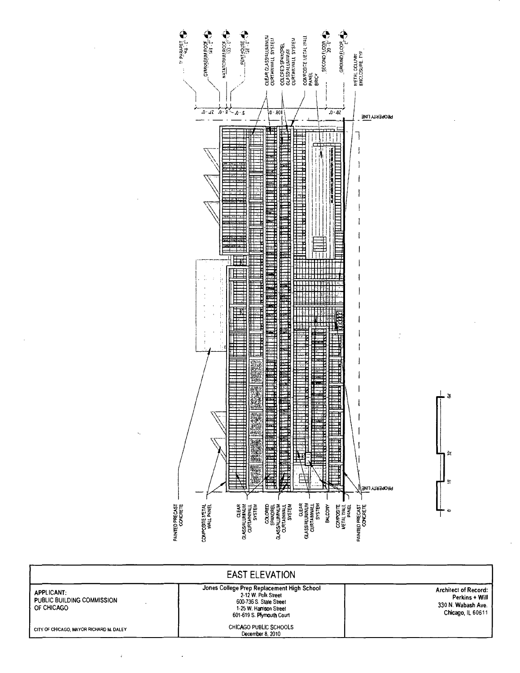

| <b>EAST ELEVATION</b>                                         |                                                                                                                                                      |                                                                                          |
|---------------------------------------------------------------|------------------------------------------------------------------------------------------------------------------------------------------------------|------------------------------------------------------------------------------------------|
| <b>APPLICANT:</b><br>PUBLIC BUILDING COMMISSION<br>OF CHICAGO | Jones College Prep Replacement High School<br>2-12 W. Polk Street<br>600-736 S. State Street<br>1-25 W. Harrison Street<br>601-619 S. Plymouth Court | <b>Architect of Record:</b><br>Perkins + Will<br>330 N. Wabash Ave.<br>Chicago, IL 60611 |
| CITY OF CHICAGO, MAYOR RICHARD M, DALEY                       | CHICAGO PUBLIC SCHOOLS<br>December 8, 2010                                                                                                           |                                                                                          |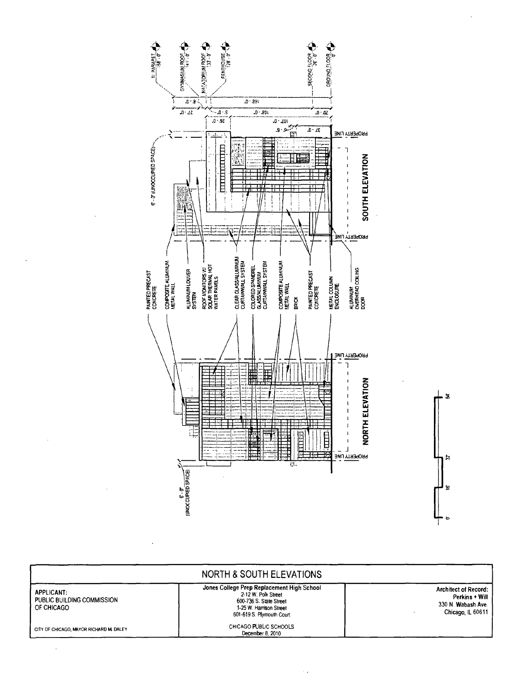

ż

Þ

Ļ

| NORTH & SOUTH ELEVATIONS                               |                                                                                                                                                      |                                                                                          |
|--------------------------------------------------------|------------------------------------------------------------------------------------------------------------------------------------------------------|------------------------------------------------------------------------------------------|
| APPLICANT:<br>PUBLIC BUILDING COMMISSION<br>OF CHICAGO | Jones College Prep Replacement High School<br>2-12 W. Polk Street<br>600-736 S. State Street<br>1-25 W. Harrison Street<br>601-619 S. Plymouth Court | <b>Architect of Record:</b><br>Perkins + Will<br>330 N. Wabash Ave.<br>Chicago, IL 60611 |
| CITY OF CHICAGO, MAYOR RICHARD M. DALEY                | CHICAGO PUBLIC SCHOOLS<br>December 8, 2010                                                                                                           |                                                                                          |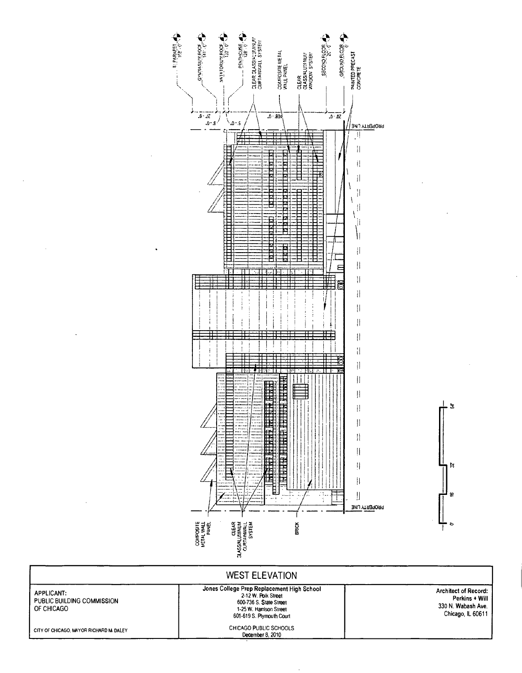

| <b>WEST ELEVATION</b>                                         |                                                                                                                                                      |                                                                                          |
|---------------------------------------------------------------|------------------------------------------------------------------------------------------------------------------------------------------------------|------------------------------------------------------------------------------------------|
| <b>APPLICANT:</b><br>PUBLIC BUILDING COMMISSION<br>OF CHICAGO | Jones College Prep Replacement High School<br>2-12 W. Polk Street<br>600-736 S. State Street<br>1-25 W. Harrison Street<br>601-619 S. Plymouth Court | <b>Architect of Record:</b><br>Perkins + Will<br>330 N. Wabash Ave.<br>Chicago, IL 60611 |
| CITY OF CHICAGO, MAYOR RICHARD M DALEY                        | CHICAGO PUBLIC SCHOOLS<br>December 8, 2010                                                                                                           |                                                                                          |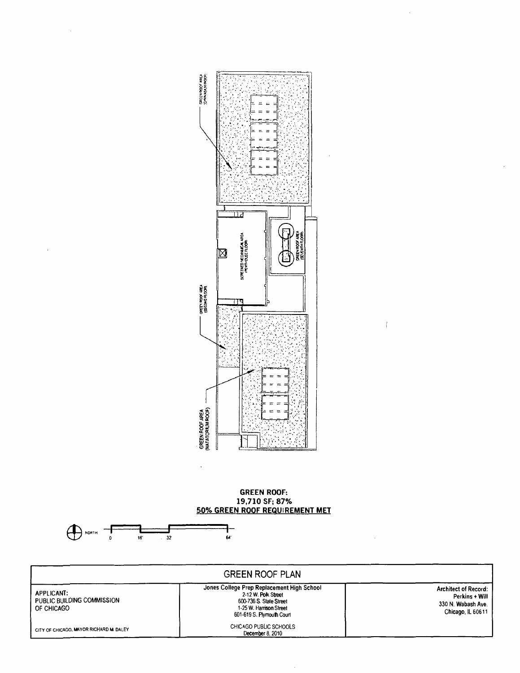| <b>NORTH</b><br>16                                            | 32<br>64                                                                                                                                             |                                                                                          |
|---------------------------------------------------------------|------------------------------------------------------------------------------------------------------------------------------------------------------|------------------------------------------------------------------------------------------|
|                                                               | <b>GREEN ROOF PLAN</b>                                                                                                                               |                                                                                          |
| <b>APPLICANT:</b><br>PUBLIC BUILDING COMMISSION<br>OF CHICAGO | Jones College Prep Replacement High School<br>2-12 W. Polk Street<br>600-736 S. State Street<br>1-25 W. Harrison Street<br>601-619 S. Plymouth Court | <b>Architect of Record:</b><br>Perkins + Will<br>330 N. Wabash Ave.<br>Chicago, IL 60611 |
| CITY OF CHICAGO, MAYOR RICHARD M DALEY                        | CHICAGO PUBLIC SCHOOLS<br>December 8, 2010                                                                                                           |                                                                                          |

 $\sim$ 

#### **GREEN ROOF: 19,710 SF; 87% 50% GREEN ROOF REQUIREMENT MET**



= = -

**GOUNDATION**<br>THE KOUNTAINS

 $\sim$ 

 $\bar{ }$ 

 $\hat{\mathcal{A}}$ 

 $\bar{1}$